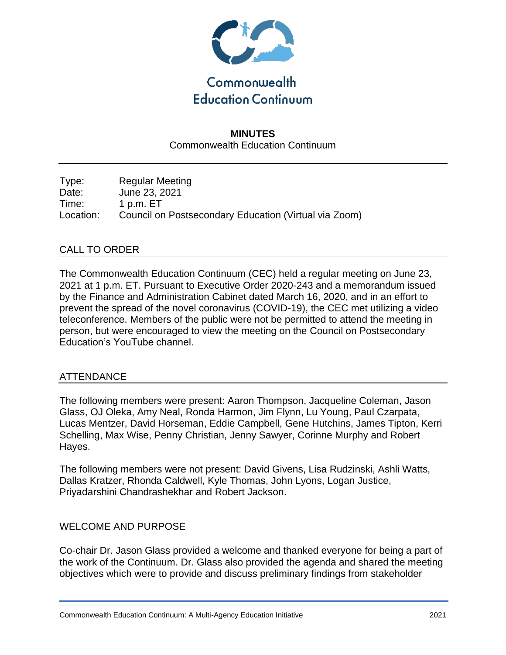

# **MINUTES** Commonwealth Education Continuum

Type: Regular Meeting Date: June 23, 2021 Time: 1 p.m. ET Location: Council on Postsecondary Education (Virtual via Zoom)

## CALL TO ORDER

The Commonwealth Education Continuum (CEC) held a regular meeting on June 23, 2021 at 1 p.m. ET. Pursuant to Executive Order 2020-243 and a memorandum issued by the Finance and Administration Cabinet dated March 16, 2020, and in an effort to prevent the spread of the novel coronavirus (COVID-19), the CEC met utilizing a video teleconference. Members of the public were not be permitted to attend the meeting in person, but were encouraged to view the meeting on the Council on Postsecondary Education's YouTube channel.

## ATTENDANCE

The following members were present: Aaron Thompson, Jacqueline Coleman, Jason Glass, OJ Oleka, Amy Neal, Ronda Harmon, Jim Flynn, Lu Young, Paul Czarpata, Lucas Mentzer, David Horseman, Eddie Campbell, Gene Hutchins, James Tipton, Kerri Schelling, Max Wise, Penny Christian, Jenny Sawyer, Corinne Murphy and Robert Hayes.

The following members were not present: David Givens, Lisa Rudzinski, Ashli Watts, Dallas Kratzer, Rhonda Caldwell, Kyle Thomas, John Lyons, Logan Justice, Priyadarshini Chandrashekhar and Robert Jackson.

### WELCOME AND PURPOSE

Co-chair Dr. Jason Glass provided a welcome and thanked everyone for being a part of the work of the Continuum. Dr. Glass also provided the agenda and shared the meeting objectives which were to provide and discuss preliminary findings from stakeholder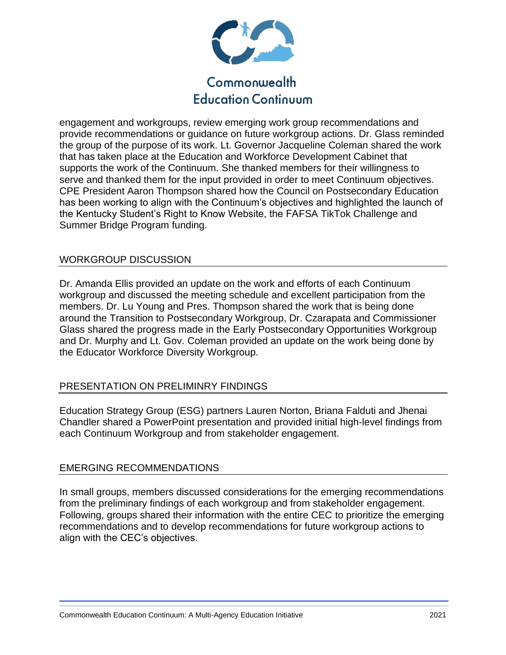

# Commonwealth **Education Continuum**

engagement and workgroups, review emerging work group recommendations and provide recommendations or guidance on future workgroup actions. Dr. Glass reminded the group of the purpose of its work. Lt. Governor Jacqueline Coleman shared the work that has taken place at the Education and Workforce Development Cabinet that supports the work of the Continuum. She thanked members for their willingness to serve and thanked them for the input provided in order to meet Continuum objectives. CPE President Aaron Thompson shared how the Council on Postsecondary Education has been working to align with the Continuum's objectives and highlighted the launch of the Kentucky Student's Right to Know Website, the FAFSA TikTok Challenge and Summer Bridge Program funding.

## WORKGROUP DISCUSSION

Dr. Amanda Ellis provided an update on the work and efforts of each Continuum workgroup and discussed the meeting schedule and excellent participation from the members. Dr. Lu Young and Pres. Thompson shared the work that is being done around the Transition to Postsecondary Workgroup, Dr. Czarapata and Commissioner Glass shared the progress made in the Early Postsecondary Opportunities Workgroup and Dr. Murphy and Lt. Gov. Coleman provided an update on the work being done by the Educator Workforce Diversity Workgroup.

## PRESENTATION ON PRELIMINRY FINDINGS

Education Strategy Group (ESG) partners Lauren Norton, Briana Falduti and Jhenai Chandler shared a PowerPoint presentation and provided initial high-level findings from each Continuum Workgroup and from stakeholder engagement.

### EMERGING RECOMMENDATIONS

In small groups, members discussed considerations for the emerging recommendations from the preliminary findings of each workgroup and from stakeholder engagement. Following, groups shared their information with the entire CEC to prioritize the emerging recommendations and to develop recommendations for future workgroup actions to align with the CEC's objectives.